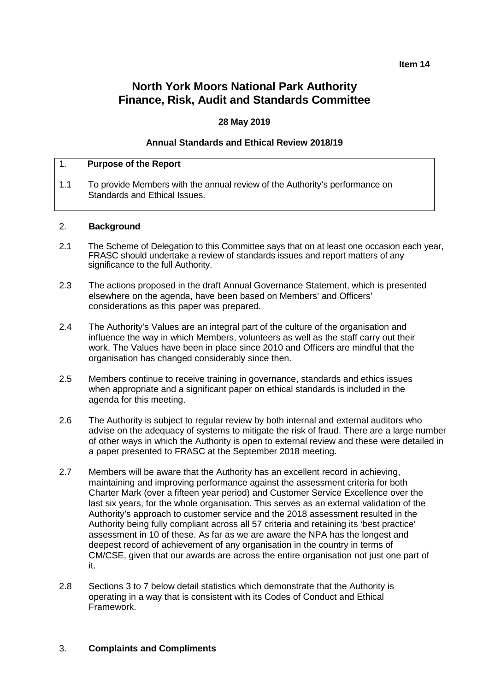**Item 14**

# **North York Moors National Park Authority Finance, Risk, Audit and Standards Committee**

# **28 May 2019**

#### **Annual Standards and Ethical Review 2018/19**

#### 1. **Purpose of the Report**

1.1 To provide Members with the annual review of the Authority's performance on Standards and Ethical Issues.

#### 2. **Background**

- 2.1 The Scheme of Delegation to this Committee says that on at least one occasion each year, FRASC should undertake a review of standards issues and report matters of any significance to the full Authority.
- 2.3 The actions proposed in the draft Annual Governance Statement, which is presented elsewhere on the agenda, have been based on Members' and Officers' considerations as this paper was prepared.
- 2.4 The Authority's Values are an integral part of the culture of the organisation and influence the way in which Members, volunteers as well as the staff carry out their work. The Values have been in place since 2010 and Officers are mindful that the organisation has changed considerably since then.
- 2.5 Members continue to receive training in governance, standards and ethics issues when appropriate and a significant paper on ethical standards is included in the agenda for this meeting.
- 2.6 The Authority is subject to regular review by both internal and external auditors who advise on the adequacy of systems to mitigate the risk of fraud. There are a large number of other ways in which the Authority is open to external review and these were detailed in a paper presented to FRASC at the September 2018 meeting.
- 2.7 Members will be aware that the Authority has an excellent record in achieving, maintaining and improving performance against the assessment criteria for both Charter Mark (over a fifteen year period) and Customer Service Excellence over the last six years, for the whole organisation. This serves as an external validation of the Authority's approach to customer service and the 2018 assessment resulted in the Authority being fully compliant across all 57 criteria and retaining its 'best practice' assessment in 10 of these. As far as we are aware the NPA has the longest and deepest record of achievement of any organisation in the country in terms of CM/CSE, given that our awards are across the entire organisation not just one part of it.
- 2.8 Sections 3 to 7 below detail statistics which demonstrate that the Authority is operating in a way that is consistent with its Codes of Conduct and Ethical Framework.

#### 3. **Complaints and Compliments**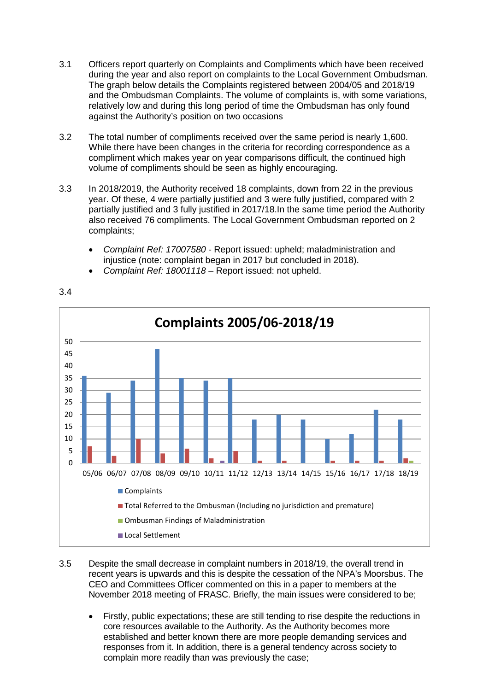- 3.1 Officers report quarterly on Complaints and Compliments which have been received during the year and also report on complaints to the Local Government Ombudsman. The graph below details the Complaints registered between 2004/05 and 2018/19 and the Ombudsman Complaints. The volume of complaints is, with some variations, relatively low and during this long period of time the Ombudsman has only found against the Authority's position on two occasions
- 3.2 The total number of compliments received over the same period is nearly 1,600. While there have been changes in the criteria for recording correspondence as a compliment which makes year on year comparisons difficult, the continued high volume of compliments should be seen as highly encouraging.
- 3.3 In 2018/2019, the Authority received 18 complaints, down from 22 in the previous year. Of these, 4 were partially justified and 3 were fully justified, compared with 2 partially justified and 3 fully justified in 2017/18.In the same time period the Authority also received 76 compliments. The Local Government Ombudsman reported on 2 complaints;
	- *Complaint Ref: 17007580 -* Report issued: upheld; maladministration and injustice (note: complaint began in 2017 but concluded in 2018).



• *Complaint Ref: 18001118* – Report issued: not upheld.

- 3.5 Despite the small decrease in complaint numbers in 2018/19, the overall trend in recent years is upwards and this is despite the cessation of the NPA's Moorsbus. The CEO and Committees Officer commented on this in a paper to members at the November 2018 meeting of FRASC. Briefly, the main issues were considered to be;
	- Firstly, public expectations; these are still tending to rise despite the reductions in core resources available to the Authority. As the Authority becomes more established and better known there are more people demanding services and responses from it. In addition, there is a general tendency across society to complain more readily than was previously the case;

3.4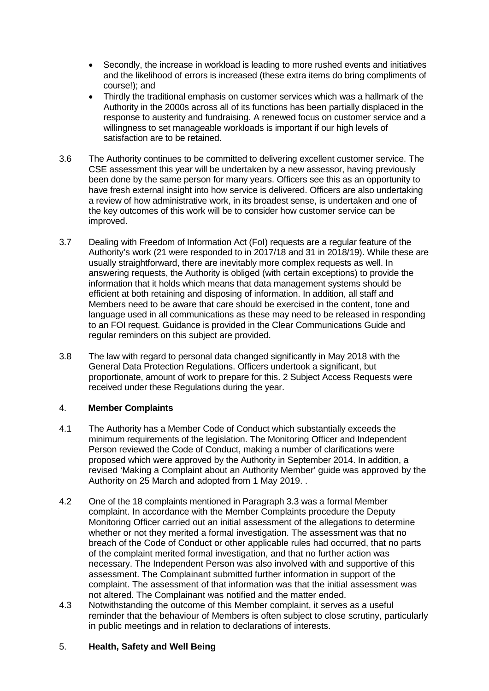- Secondly, the increase in workload is leading to more rushed events and initiatives and the likelihood of errors is increased (these extra items do bring compliments of course!); and
- Thirdly the traditional emphasis on customer services which was a hallmark of the Authority in the 2000s across all of its functions has been partially displaced in the response to austerity and fundraising. A renewed focus on customer service and a willingness to set manageable workloads is important if our high levels of satisfaction are to be retained.
- 3.6 The Authority continues to be committed to delivering excellent customer service. The CSE assessment this year will be undertaken by a new assessor, having previously been done by the same person for many years. Officers see this as an opportunity to have fresh external insight into how service is delivered. Officers are also undertaking a review of how administrative work, in its broadest sense, is undertaken and one of the key outcomes of this work will be to consider how customer service can be improved.
- 3.7 Dealing with Freedom of Information Act (FoI) requests are a regular feature of the Authority's work (21 were responded to in 2017/18 and 31 in 2018/19). While these are usually straightforward, there are inevitably more complex requests as well. In answering requests, the Authority is obliged (with certain exceptions) to provide the information that it holds which means that data management systems should be efficient at both retaining and disposing of information. In addition, all staff and Members need to be aware that care should be exercised in the content, tone and language used in all communications as these may need to be released in responding to an FOI request. Guidance is provided in the Clear Communications Guide and regular reminders on this subject are provided.
- 3.8 The law with regard to personal data changed significantly in May 2018 with the General Data Protection Regulations. Officers undertook a significant, but proportionate, amount of work to prepare for this. 2 Subject Access Requests were received under these Regulations during the year.

# 4. **Member Complaints**

- 4.1 The Authority has a Member Code of Conduct which substantially exceeds the minimum requirements of the legislation. The Monitoring Officer and Independent Person reviewed the Code of Conduct, making a number of clarifications were proposed which were approved by the Authority in September 2014. In addition, a revised 'Making a Complaint about an Authority Member' guide was approved by the Authority on 25 March and adopted from 1 May 2019. .
- 4.2 One of the 18 complaints mentioned in Paragraph 3.3 was a formal Member complaint. In accordance with the Member Complaints procedure the Deputy Monitoring Officer carried out an initial assessment of the allegations to determine whether or not they merited a formal investigation. The assessment was that no breach of the Code of Conduct or other applicable rules had occurred, that no parts of the complaint merited formal investigation, and that no further action was necessary. The Independent Person was also involved with and supportive of this assessment. The Complainant submitted further information in support of the complaint. The assessment of that information was that the initial assessment was not altered. The Complainant was notified and the matter ended.
- 4.3 Notwithstanding the outcome of this Member complaint, it serves as a useful reminder that the behaviour of Members is often subject to close scrutiny, particularly in public meetings and in relation to declarations of interests.

# 5. **Health, Safety and Well Being**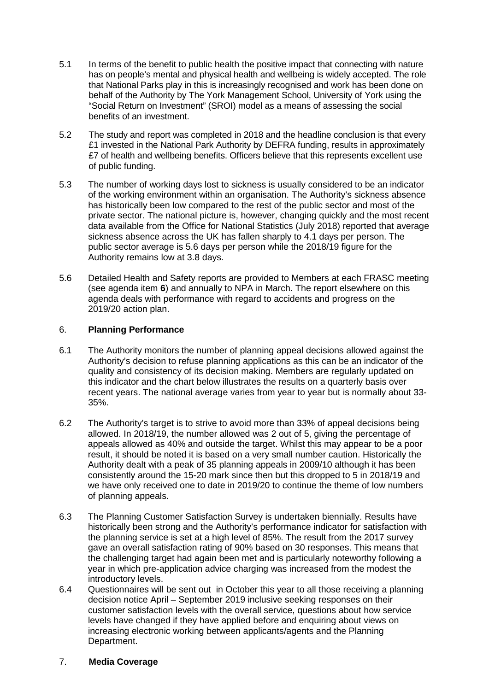- 5.1 In terms of the benefit to public health the positive impact that connecting with nature has on people's mental and physical health and wellbeing is widely accepted. The role that National Parks play in this is increasingly recognised and work has been done on behalf of the Authority by The York Management School, University of York using the "Social Return on Investment" (SROI) model as a means of assessing the social benefits of an investment.
- 5.2 The study and report was completed in 2018 and the headline conclusion is that every £1 invested in the National Park Authority by DEFRA funding, results in approximately £7 of health and wellbeing benefits. Officers believe that this represents excellent use of public funding.
- 5.3 The number of working days lost to sickness is usually considered to be an indicator of the working environment within an organisation. The Authority's sickness absence has historically been low compared to the rest of the public sector and most of the private sector. The national picture is, however, changing quickly and the most recent data available from the Office for National Statistics (July 2018) reported that average sickness absence across the UK has fallen sharply to 4.1 days per person. The public sector average is 5.6 days per person while the 2018/19 figure for the Authority remains low at 3.8 days.
- 5.6 Detailed Health and Safety reports are provided to Members at each FRASC meeting (see agenda item **6**) and annually to NPA in March. The report elsewhere on this agenda deals with performance with regard to accidents and progress on the 2019/20 action plan.

# 6. **Planning Performance**

- 6.1 The Authority monitors the number of planning appeal decisions allowed against the Authority's decision to refuse planning applications as this can be an indicator of the quality and consistency of its decision making. Members are regularly updated on this indicator and the chart below illustrates the results on a quarterly basis over recent years. The national average varies from year to year but is normally about 33- 35%.
- 6.2 The Authority's target is to strive to avoid more than 33% of appeal decisions being allowed. In 2018/19, the number allowed was 2 out of 5, giving the percentage of appeals allowed as 40% and outside the target. Whilst this may appear to be a poor result, it should be noted it is based on a very small number caution. Historically the Authority dealt with a peak of 35 planning appeals in 2009/10 although it has been consistently around the 15-20 mark since then but this dropped to 5 in 2018/19 and we have only received one to date in 2019/20 to continue the theme of low numbers of planning appeals.
- 6.3 The Planning Customer Satisfaction Survey is undertaken biennially. Results have historically been strong and the Authority's performance indicator for satisfaction with the planning service is set at a high level of 85%. The result from the 2017 survey gave an overall satisfaction rating of 90% based on 30 responses. This means that the challenging target had again been met and is particularly noteworthy following a year in which pre-application advice charging was increased from the modest the introductory levels.
- 6.4 Questionnaires will be sent out in October this year to all those receiving a planning decision notice April – September 2019 inclusive seeking responses on their customer satisfaction levels with the overall service, questions about how service levels have changed if they have applied before and enquiring about views on increasing electronic working between applicants/agents and the Planning Department.
- 7. **Media Coverage**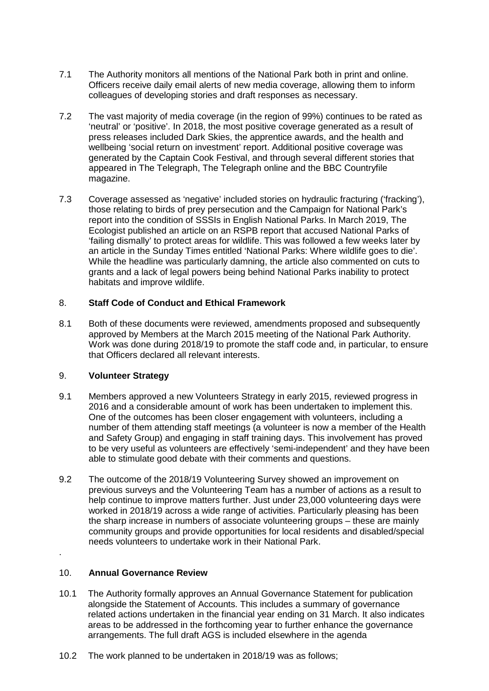- 7.1 The Authority monitors all mentions of the National Park both in print and online. Officers receive daily email alerts of new media coverage, allowing them to inform colleagues of developing stories and draft responses as necessary.
- 7.2 The vast majority of media coverage (in the region of 99%) continues to be rated as 'neutral' or 'positive'. In 2018, the most positive coverage generated as a result of press releases included Dark Skies, the apprentice awards, and the health and wellbeing 'social return on investment' report. Additional positive coverage was generated by the Captain Cook Festival, and through several different stories that appeared in The Telegraph, The Telegraph online and the BBC Countryfile magazine.
- 7.3 Coverage assessed as 'negative' included stories on hydraulic fracturing ('fracking'), those relating to birds of prey persecution and the Campaign for National Park's report into the condition of SSSIs in English National Parks. In March 2019, The Ecologist published an article on an RSPB report that accused National Parks of 'failing dismally' to protect areas for wildlife. This was followed a few weeks later by an article in the Sunday Times entitled 'National Parks: Where wildlife goes to die'. While the headline was particularly damning, the article also commented on cuts to grants and a lack of legal powers being behind National Parks inability to protect habitats and improve wildlife.

# 8. **Staff Code of Conduct and Ethical Framework**

8.1 Both of these documents were reviewed, amendments proposed and subsequently approved by Members at the March 2015 meeting of the National Park Authority. Work was done during 2018/19 to promote the staff code and, in particular, to ensure that Officers declared all relevant interests.

# 9. **Volunteer Strategy**

- 9.1 Members approved a new Volunteers Strategy in early 2015, reviewed progress in 2016 and a considerable amount of work has been undertaken to implement this. One of the outcomes has been closer engagement with volunteers, including a number of them attending staff meetings (a volunteer is now a member of the Health and Safety Group) and engaging in staff training days. This involvement has proved to be very useful as volunteers are effectively 'semi-independent' and they have been able to stimulate good debate with their comments and questions.
- 9.2 The outcome of the 2018/19 Volunteering Survey showed an improvement on previous surveys and the Volunteering Team has a number of actions as a result to help continue to improve matters further. Just under 23,000 volunteering days were worked in 2018/19 across a wide range of activities. Particularly pleasing has been the sharp increase in numbers of associate volunteering groups – these are mainly community groups and provide opportunities for local residents and disabled/special needs volunteers to undertake work in their National Park.

# 10. **Annual Governance Review**

.

- 10.1 The Authority formally approves an Annual Governance Statement for publication alongside the Statement of Accounts. This includes a summary of governance related actions undertaken in the financial year ending on 31 March. It also indicates areas to be addressed in the forthcoming year to further enhance the governance arrangements. The full draft AGS is included elsewhere in the agenda
- 10.2 The work planned to be undertaken in 2018/19 was as follows;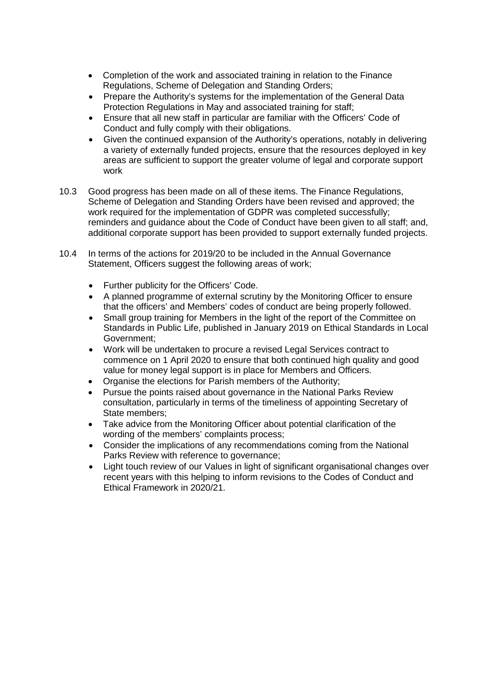- Completion of the work and associated training in relation to the Finance Regulations, Scheme of Delegation and Standing Orders;
- Prepare the Authority's systems for the implementation of the General Data Protection Regulations in May and associated training for staff;
- Ensure that all new staff in particular are familiar with the Officers' Code of Conduct and fully comply with their obligations.
- Given the continued expansion of the Authority's operations, notably in delivering a variety of externally funded projects, ensure that the resources deployed in key areas are sufficient to support the greater volume of legal and corporate support work
- 10.3 Good progress has been made on all of these items. The Finance Regulations, Scheme of Delegation and Standing Orders have been revised and approved; the work required for the implementation of GDPR was completed successfully; reminders and guidance about the Code of Conduct have been given to all staff; and, additional corporate support has been provided to support externally funded projects.
- 10.4 In terms of the actions for 2019/20 to be included in the Annual Governance Statement, Officers suggest the following areas of work;
	- Further publicity for the Officers' Code.
	- A planned programme of external scrutiny by the Monitoring Officer to ensure that the officers' and Members' codes of conduct are being properly followed.
	- Small group training for Members in the light of the report of the Committee on Standards in Public Life, published in January 2019 on Ethical Standards in Local Government;
	- Work will be undertaken to procure a revised Legal Services contract to commence on 1 April 2020 to ensure that both continued high quality and good value for money legal support is in place for Members and Officers.
	- Organise the elections for Parish members of the Authority;
	- Pursue the points raised about governance in the National Parks Review consultation, particularly in terms of the timeliness of appointing Secretary of State members;
	- Take advice from the Monitoring Officer about potential clarification of the wording of the members' complaints process;
	- Consider the implications of any recommendations coming from the National Parks Review with reference to governance;
	- Light touch review of our Values in light of significant organisational changes over recent years with this helping to inform revisions to the Codes of Conduct and Ethical Framework in 2020/21.